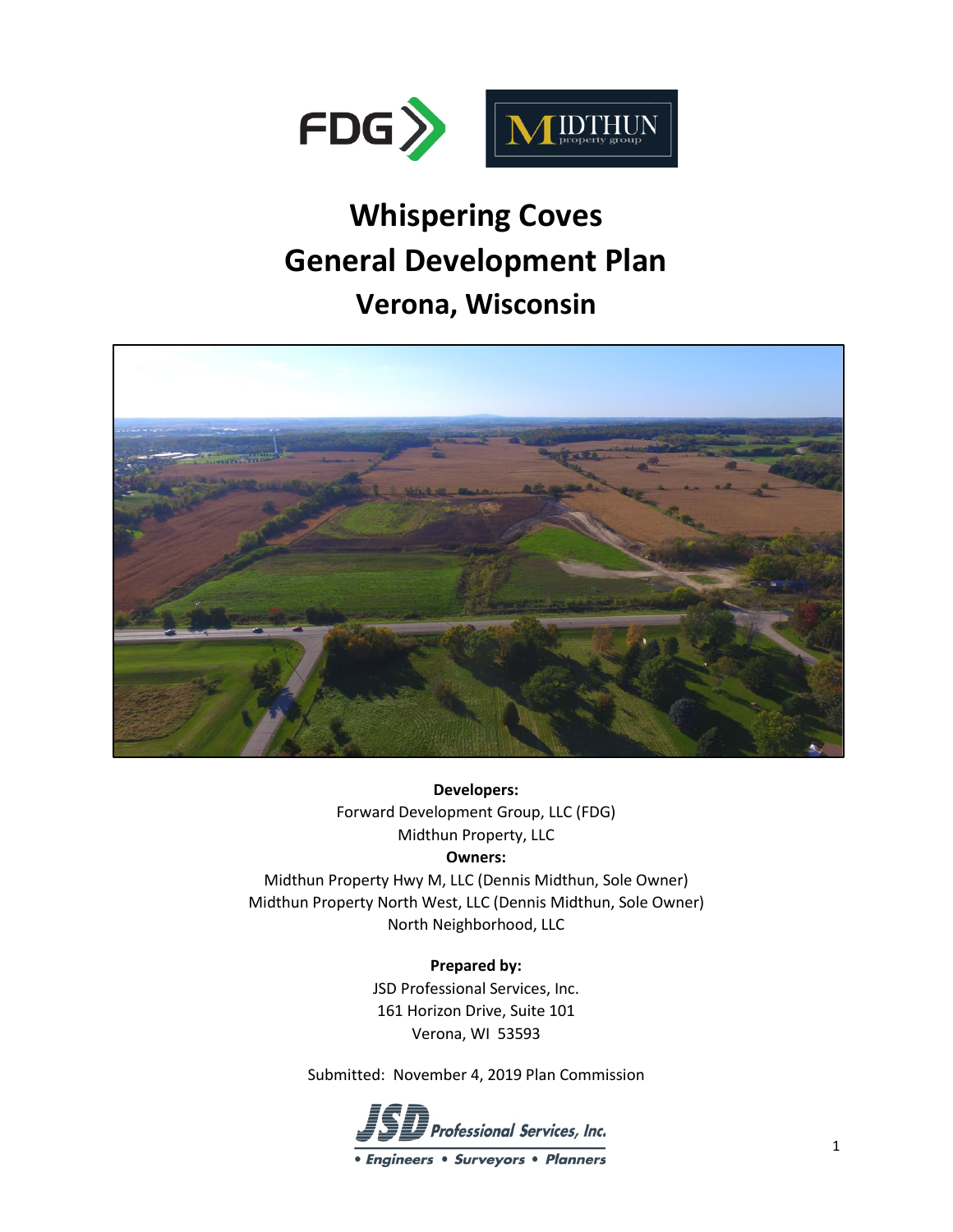

# **Whispering Coves General Development Plan Verona, Wisconsin**



**Developers:**  Forward Development Group, LLC (FDG) Midthun Property, LLC

## **Owners:**

Midthun Property Hwy M, LLC (Dennis Midthun, Sole Owner) Midthun Property North West, LLC (Dennis Midthun, Sole Owner) North Neighborhood, LLC

**Prepared by:**

JSD Professional Services, Inc. 161 Horizon Drive, Suite 101 Verona, WI 53593

Submitted: November 4, 2019 Plan Commission

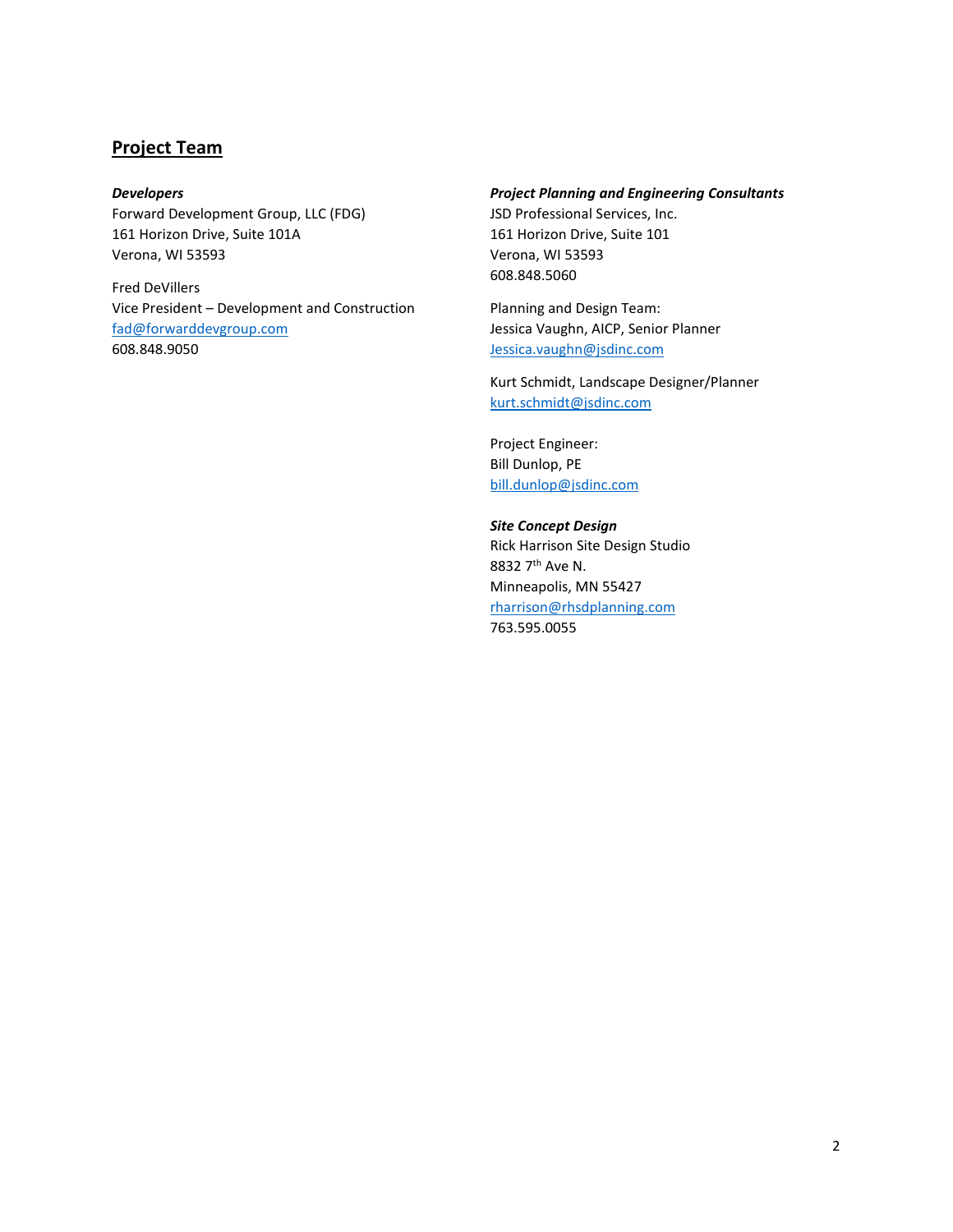## **Project Team**

#### *Developers*

Forward Development Group, LLC (FDG) 161 Horizon Drive, Suite 101A Verona, WI 53593

Fred DeVillers Vice President – Development and Construction [fad@forwarddevgroup.com](mailto:fad@forwarddevgroup.com) 608.848.9050

#### *Project Planning and Engineering Consultants*

JSD Professional Services, Inc. 161 Horizon Drive, Suite 101 Verona, WI 53593 608.848.5060

Planning and Design Team: Jessica Vaughn, AICP, Senior Planner [Jessica.vaughn@jsdinc.com](mailto:Jessica.vaughn@jsdinc.com)

Kurt Schmidt, Landscape Designer/Planner [kurt.schmidt@jsdinc.com](mailto:kurt.schmidt@jsdinc.com) 

Project Engineer: Bill Dunlop, PE [bill.dunlop@jsdinc.com](mailto:bill.dunlop@jsdinc.com)

*Site Concept Design* Rick Harrison Site Design Studio 8832 7th Ave N. Minneapolis, MN 55427 [rharrison@rhsdplanning.com](mailto:rharrison@rhsdplanning.com)  763.595.0055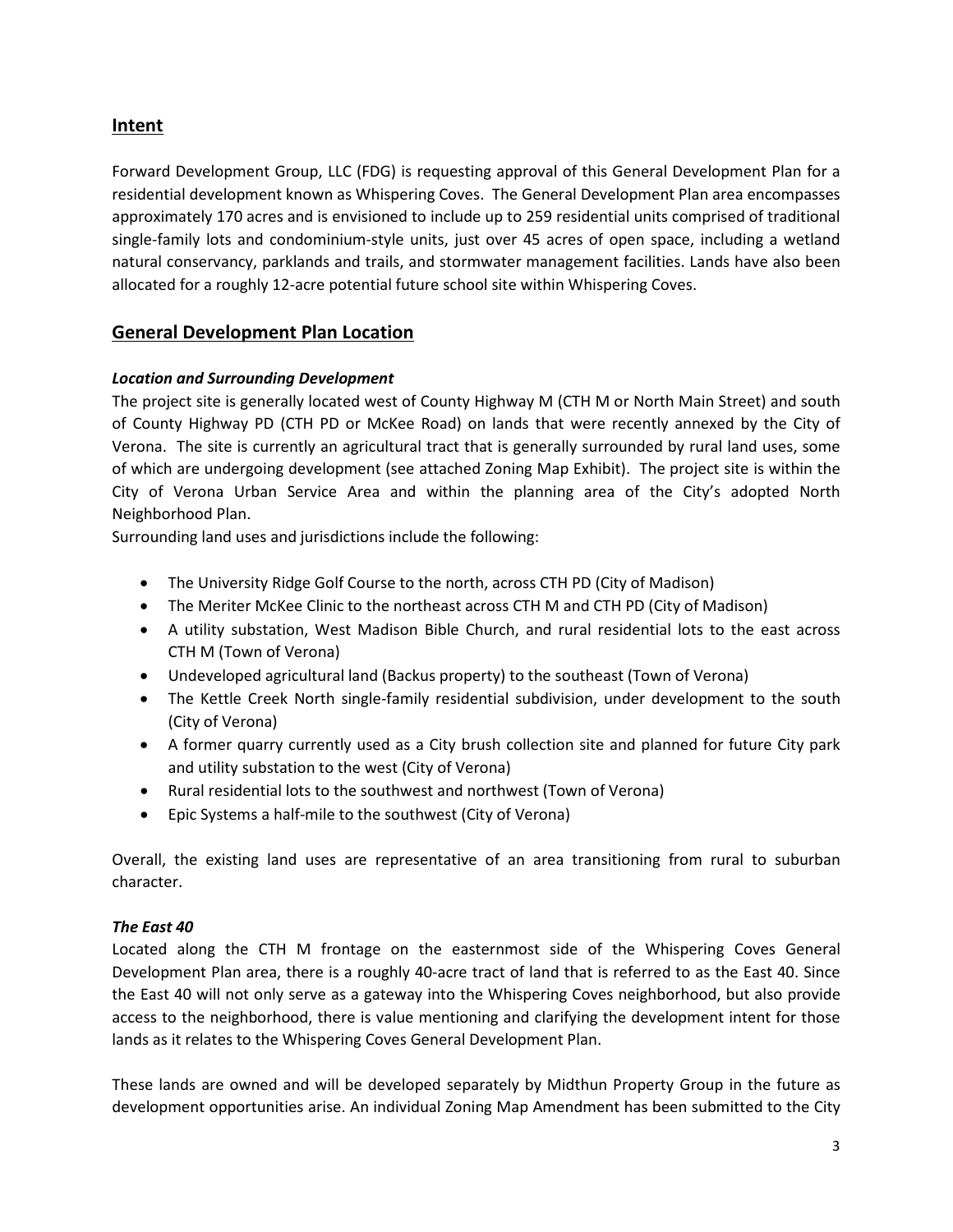# **Intent**

Forward Development Group, LLC (FDG) is requesting approval of this General Development Plan for a residential development known as Whispering Coves. The General Development Plan area encompasses approximately 170 acres and is envisioned to include up to 259 residential units comprised of traditional single-family lots and condominium-style units, just over 45 acres of open space, including a wetland natural conservancy, parklands and trails, and stormwater management facilities. Lands have also been allocated for a roughly 12-acre potential future school site within Whispering Coves.

# **General Development Plan Location**

## *Location and Surrounding Development*

The project site is generally located west of County Highway M (CTH M or North Main Street) and south of County Highway PD (CTH PD or McKee Road) on lands that were recently annexed by the City of Verona. The site is currently an agricultural tract that is generally surrounded by rural land uses, some of which are undergoing development (see attached Zoning Map Exhibit). The project site is within the City of Verona Urban Service Area and within the planning area of the City's adopted North Neighborhood Plan.

Surrounding land uses and jurisdictions include the following:

- The University Ridge Golf Course to the north, across CTH PD (City of Madison)
- The Meriter McKee Clinic to the northeast across CTH M and CTH PD (City of Madison)
- A utility substation, West Madison Bible Church, and rural residential lots to the east across CTH M (Town of Verona)
- Undeveloped agricultural land (Backus property) to the southeast (Town of Verona)
- The Kettle Creek North single-family residential subdivision, under development to the south (City of Verona)
- A former quarry currently used as a City brush collection site and planned for future City park and utility substation to the west (City of Verona)
- Rural residential lots to the southwest and northwest (Town of Verona)
- Epic Systems a half-mile to the southwest (City of Verona)

Overall, the existing land uses are representative of an area transitioning from rural to suburban character.

## *The East 40*

Located along the CTH M frontage on the easternmost side of the Whispering Coves General Development Plan area, there is a roughly 40-acre tract of land that is referred to as the East 40. Since the East 40 will not only serve as a gateway into the Whispering Coves neighborhood, but also provide access to the neighborhood, there is value mentioning and clarifying the development intent for those lands as it relates to the Whispering Coves General Development Plan.

These lands are owned and will be developed separately by Midthun Property Group in the future as development opportunities arise. An individual Zoning Map Amendment has been submitted to the City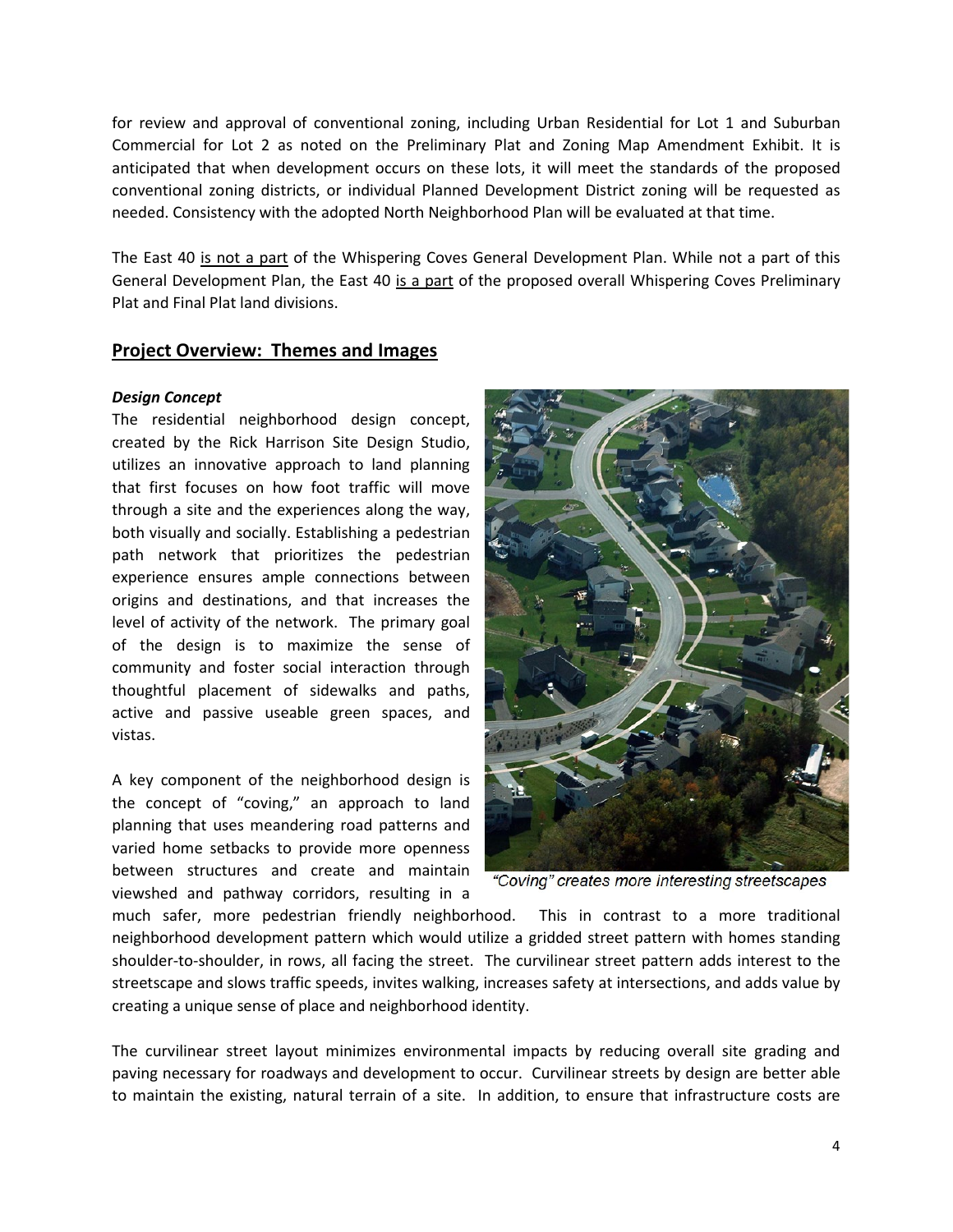for review and approval of conventional zoning, including Urban Residential for Lot 1 and Suburban Commercial for Lot 2 as noted on the Preliminary Plat and Zoning Map Amendment Exhibit. It is anticipated that when development occurs on these lots, it will meet the standards of the proposed conventional zoning districts, or individual Planned Development District zoning will be requested as needed. Consistency with the adopted North Neighborhood Plan will be evaluated at that time.

The East 40 is not a part of the Whispering Coves General Development Plan. While not a part of this General Development Plan, the East 40 is a part of the proposed overall Whispering Coves Preliminary Plat and Final Plat land divisions.

#### **Project Overview: Themes and Images**

#### *Design Concept*

The residential neighborhood design concept, created by the Rick Harrison Site Design Studio, utilizes an innovative approach to land planning that first focuses on how foot traffic will move through a site and the experiences along the way, both visually and socially. Establishing a pedestrian path network that prioritizes the pedestrian experience ensures ample connections between origins and destinations, and that increases the level of activity of the network. The primary goal of the design is to maximize the sense of community and foster social interaction through thoughtful placement of sidewalks and paths, active and passive useable green spaces, and vistas.

A key component of the neighborhood design is the concept of "coving," an approach to land planning that uses meandering road patterns and varied home setbacks to provide more openness between structures and create and maintain viewshed and pathway corridors, resulting in a



"Coving" creates more interesting streetscapes

much safer, more pedestrian friendly neighborhood. This in contrast to a more traditional neighborhood development pattern which would utilize a gridded street pattern with homes standing shoulder-to-shoulder, in rows, all facing the street. The curvilinear street pattern adds interest to the streetscape and slows traffic speeds, invites walking, increases safety at intersections, and adds value by creating a unique sense of place and neighborhood identity.

The curvilinear street layout minimizes environmental impacts by reducing overall site grading and paving necessary for roadways and development to occur. Curvilinear streets by design are better able to maintain the existing, natural terrain of a site. In addition, to ensure that infrastructure costs are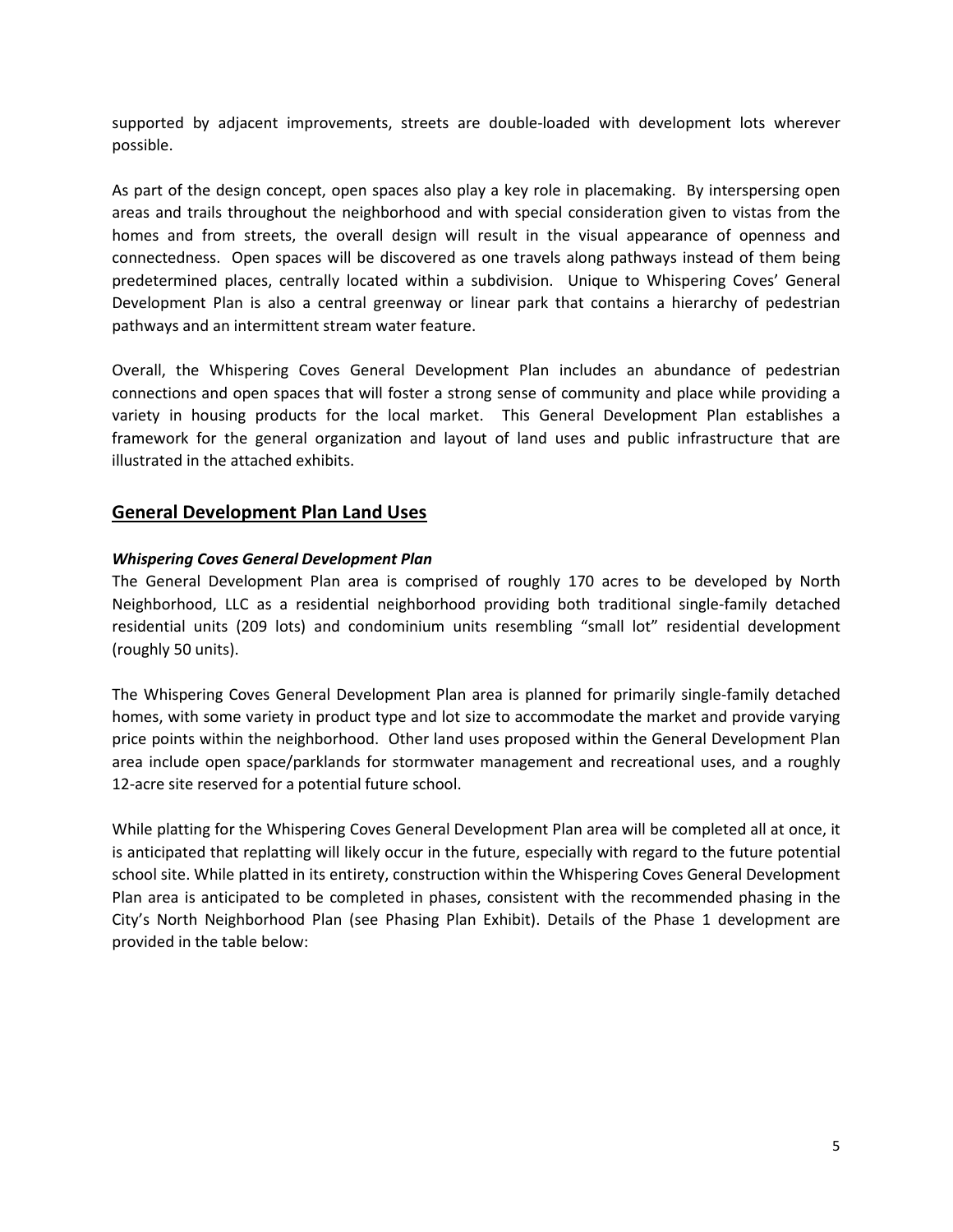supported by adjacent improvements, streets are double-loaded with development lots wherever possible.

As part of the design concept, open spaces also play a key role in placemaking. By interspersing open areas and trails throughout the neighborhood and with special consideration given to vistas from the homes and from streets, the overall design will result in the visual appearance of openness and connectedness. Open spaces will be discovered as one travels along pathways instead of them being predetermined places, centrally located within a subdivision. Unique to Whispering Coves' General Development Plan is also a central greenway or linear park that contains a hierarchy of pedestrian pathways and an intermittent stream water feature.

Overall, the Whispering Coves General Development Plan includes an abundance of pedestrian connections and open spaces that will foster a strong sense of community and place while providing a variety in housing products for the local market. This General Development Plan establishes a framework for the general organization and layout of land uses and public infrastructure that are illustrated in the attached exhibits.

## **General Development Plan Land Uses**

#### *Whispering Coves General Development Plan*

The General Development Plan area is comprised of roughly 170 acres to be developed by North Neighborhood, LLC as a residential neighborhood providing both traditional single-family detached residential units (209 lots) and condominium units resembling "small lot" residential development (roughly 50 units).

The Whispering Coves General Development Plan area is planned for primarily single-family detached homes, with some variety in product type and lot size to accommodate the market and provide varying price points within the neighborhood. Other land uses proposed within the General Development Plan area include open space/parklands for stormwater management and recreational uses, and a roughly 12-acre site reserved for a potential future school.

While platting for the Whispering Coves General Development Plan area will be completed all at once, it is anticipated that replatting will likely occur in the future, especially with regard to the future potential school site. While platted in its entirety, construction within the Whispering Coves General Development Plan area is anticipated to be completed in phases, consistent with the recommended phasing in the City's North Neighborhood Plan (see Phasing Plan Exhibit). Details of the Phase 1 development are provided in the table below: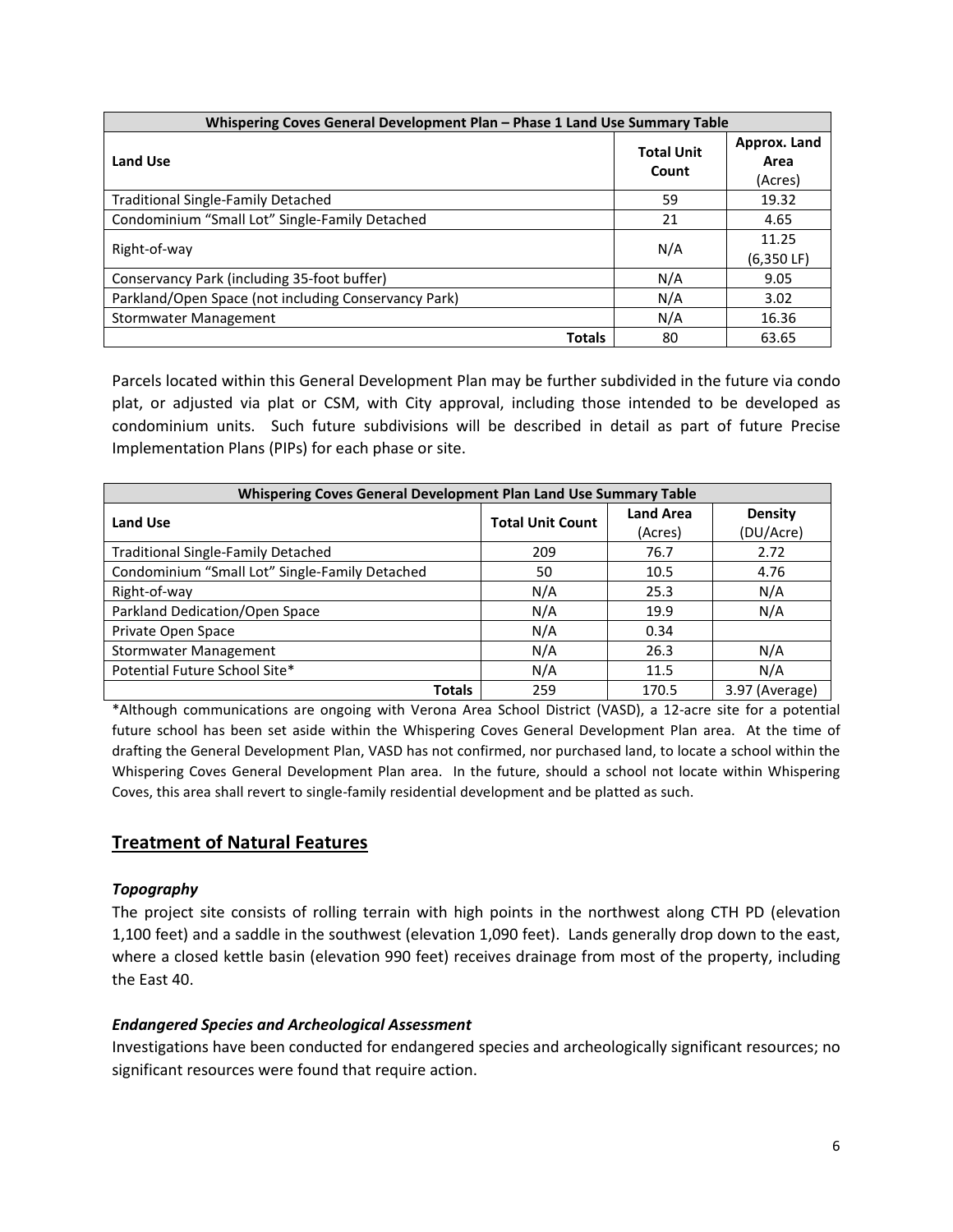| Whispering Coves General Development Plan - Phase 1 Land Use Summary Table |                            |                                 |  |
|----------------------------------------------------------------------------|----------------------------|---------------------------------|--|
| <b>Land Use</b>                                                            | <b>Total Unit</b><br>Count | Approx. Land<br>Area<br>(Acres) |  |
| <b>Traditional Single-Family Detached</b>                                  | 59                         | 19.32                           |  |
| Condominium "Small Lot" Single-Family Detached                             | 21                         | 4.65                            |  |
| Right-of-way                                                               | N/A                        | 11.25<br>$(6,350 \text{ LF})$   |  |
| Conservancy Park (including 35-foot buffer)                                | N/A                        | 9.05                            |  |
| Parkland/Open Space (not including Conservancy Park)                       | N/A                        | 3.02                            |  |
| Stormwater Management                                                      | N/A                        | 16.36                           |  |
| <b>Totals</b>                                                              | 80                         | 63.65                           |  |

Parcels located within this General Development Plan may be further subdivided in the future via condo plat, or adjusted via plat or CSM, with City approval, including those intended to be developed as condominium units. Such future subdivisions will be described in detail as part of future Precise Implementation Plans (PIPs) for each phase or site.

| Whispering Coves General Development Plan Land Use Summary Table |                         |                             |                             |  |
|------------------------------------------------------------------|-------------------------|-----------------------------|-----------------------------|--|
| <b>Land Use</b>                                                  | <b>Total Unit Count</b> | <b>Land Area</b><br>(Acres) | <b>Density</b><br>(DU/Acre) |  |
| <b>Traditional Single-Family Detached</b>                        | 209                     | 76.7                        | 2.72                        |  |
| Condominium "Small Lot" Single-Family Detached                   | 50                      | 10.5                        | 4.76                        |  |
| Right-of-way                                                     | N/A                     | 25.3                        | N/A                         |  |
| Parkland Dedication/Open Space                                   | N/A                     | 19.9                        | N/A                         |  |
| Private Open Space                                               | N/A                     | 0.34                        |                             |  |
| Stormwater Management                                            | N/A                     | 26.3                        | N/A                         |  |
| Potential Future School Site*                                    | N/A                     | 11.5                        | N/A                         |  |
| <b>Totals</b>                                                    | 259                     | 170.5                       | 3.97 (Average)              |  |

\*Although communications are ongoing with Verona Area School District (VASD), a 12-acre site for a potential future school has been set aside within the Whispering Coves General Development Plan area. At the time of drafting the General Development Plan, VASD has not confirmed, nor purchased land, to locate a school within the Whispering Coves General Development Plan area. In the future, should a school not locate within Whispering Coves, this area shall revert to single-family residential development and be platted as such.

## **Treatment of Natural Features**

#### *Topography*

The project site consists of rolling terrain with high points in the northwest along CTH PD (elevation 1,100 feet) and a saddle in the southwest (elevation 1,090 feet). Lands generally drop down to the east, where a closed kettle basin (elevation 990 feet) receives drainage from most of the property, including the East 40.

#### *Endangered Species and Archeological Assessment*

Investigations have been conducted for endangered species and archeologically significant resources; no significant resources were found that require action.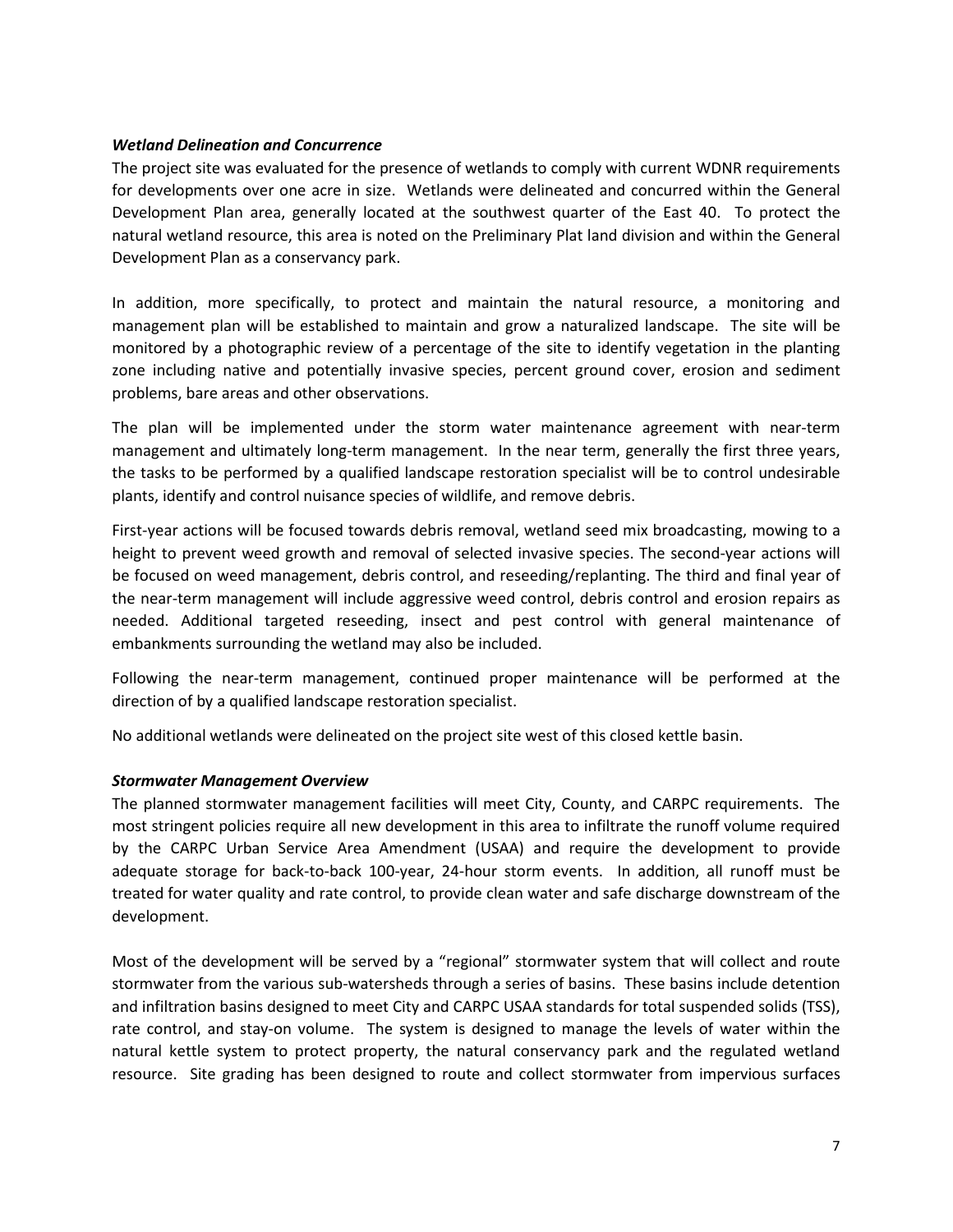#### *Wetland Delineation and Concurrence*

The project site was evaluated for the presence of wetlands to comply with current WDNR requirements for developments over one acre in size. Wetlands were delineated and concurred within the General Development Plan area, generally located at the southwest quarter of the East 40. To protect the natural wetland resource, this area is noted on the Preliminary Plat land division and within the General Development Plan as a conservancy park.

In addition, more specifically, to protect and maintain the natural resource, a monitoring and management plan will be established to maintain and grow a naturalized landscape. The site will be monitored by a photographic review of a percentage of the site to identify vegetation in the planting zone including native and potentially invasive species, percent ground cover, erosion and sediment problems, bare areas and other observations.

The plan will be implemented under the storm water maintenance agreement with near-term management and ultimately long-term management. In the near term, generally the first three years, the tasks to be performed by a qualified landscape restoration specialist will be to control undesirable plants, identify and control nuisance species of wildlife, and remove debris.

First-year actions will be focused towards debris removal, wetland seed mix broadcasting, mowing to a height to prevent weed growth and removal of selected invasive species. The second-year actions will be focused on weed management, debris control, and reseeding/replanting. The third and final year of the near-term management will include aggressive weed control, debris control and erosion repairs as needed. Additional targeted reseeding, insect and pest control with general maintenance of embankments surrounding the wetland may also be included.

Following the near-term management, continued proper maintenance will be performed at the direction of by a qualified landscape restoration specialist.

No additional wetlands were delineated on the project site west of this closed kettle basin.

#### *Stormwater Management Overview*

The planned stormwater management facilities will meet City, County, and CARPC requirements. The most stringent policies require all new development in this area to infiltrate the runoff volume required by the CARPC Urban Service Area Amendment (USAA) and require the development to provide adequate storage for back-to-back 100-year, 24-hour storm events. In addition, all runoff must be treated for water quality and rate control, to provide clean water and safe discharge downstream of the development.

Most of the development will be served by a "regional" stormwater system that will collect and route stormwater from the various sub-watersheds through a series of basins. These basins include detention and infiltration basins designed to meet City and CARPC USAA standards for total suspended solids (TSS), rate control, and stay-on volume. The system is designed to manage the levels of water within the natural kettle system to protect property, the natural conservancy park and the regulated wetland resource. Site grading has been designed to route and collect stormwater from impervious surfaces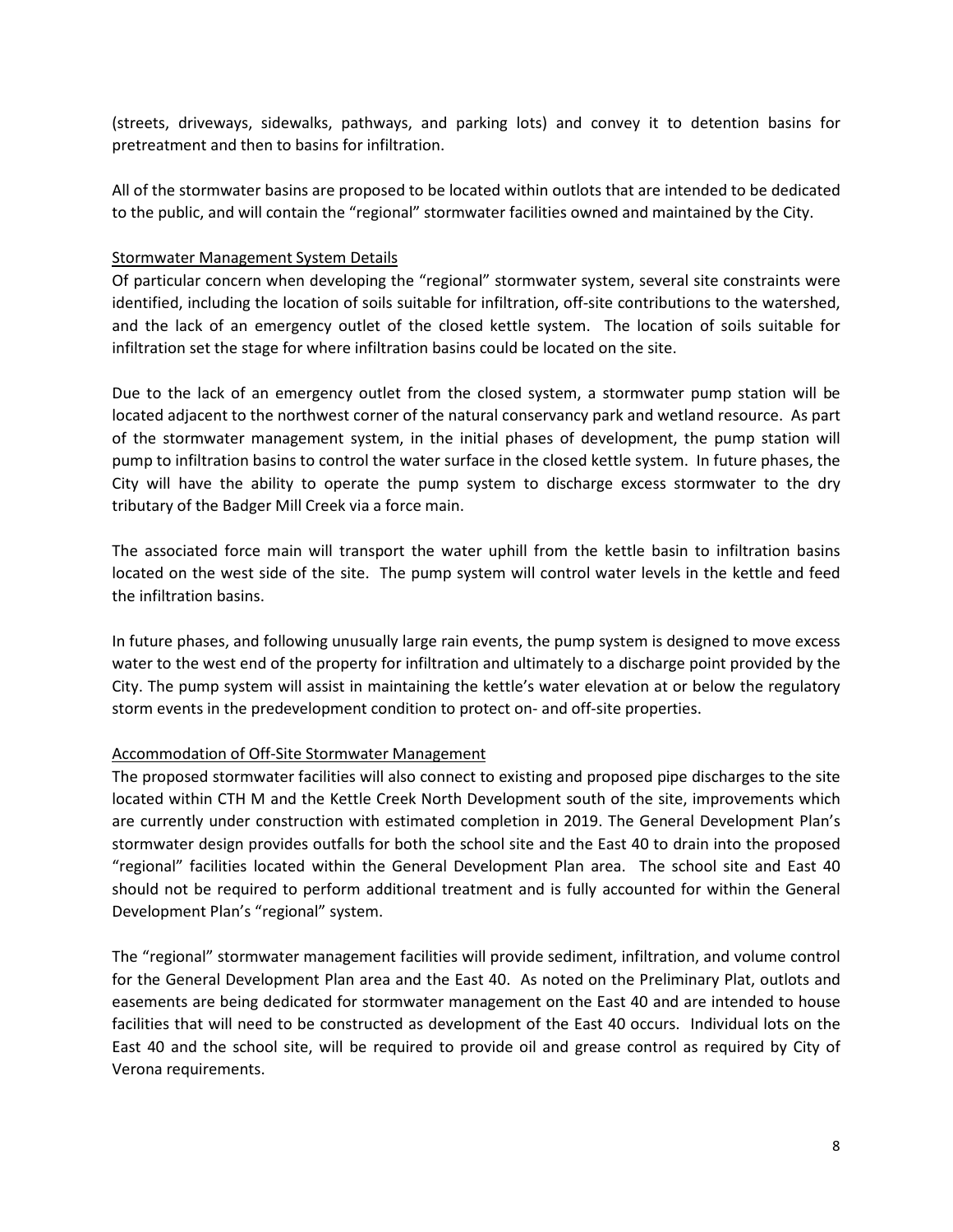(streets, driveways, sidewalks, pathways, and parking lots) and convey it to detention basins for pretreatment and then to basins for infiltration.

All of the stormwater basins are proposed to be located within outlots that are intended to be dedicated to the public, and will contain the "regional" stormwater facilities owned and maintained by the City.

#### Stormwater Management System Details

Of particular concern when developing the "regional" stormwater system, several site constraints were identified, including the location of soils suitable for infiltration, off-site contributions to the watershed, and the lack of an emergency outlet of the closed kettle system. The location of soils suitable for infiltration set the stage for where infiltration basins could be located on the site.

Due to the lack of an emergency outlet from the closed system, a stormwater pump station will be located adjacent to the northwest corner of the natural conservancy park and wetland resource. As part of the stormwater management system, in the initial phases of development, the pump station will pump to infiltration basins to control the water surface in the closed kettle system. In future phases, the City will have the ability to operate the pump system to discharge excess stormwater to the dry tributary of the Badger Mill Creek via a force main.

The associated force main will transport the water uphill from the kettle basin to infiltration basins located on the west side of the site. The pump system will control water levels in the kettle and feed the infiltration basins.

In future phases, and following unusually large rain events, the pump system is designed to move excess water to the west end of the property for infiltration and ultimately to a discharge point provided by the City. The pump system will assist in maintaining the kettle's water elevation at or below the regulatory storm events in the predevelopment condition to protect on- and off-site properties.

#### Accommodation of Off-Site Stormwater Management

The proposed stormwater facilities will also connect to existing and proposed pipe discharges to the site located within CTH M and the Kettle Creek North Development south of the site, improvements which are currently under construction with estimated completion in 2019. The General Development Plan's stormwater design provides outfalls for both the school site and the East 40 to drain into the proposed "regional" facilities located within the General Development Plan area. The school site and East 40 should not be required to perform additional treatment and is fully accounted for within the General Development Plan's "regional" system.

The "regional" stormwater management facilities will provide sediment, infiltration, and volume control for the General Development Plan area and the East 40. As noted on the Preliminary Plat, outlots and easements are being dedicated for stormwater management on the East 40 and are intended to house facilities that will need to be constructed as development of the East 40 occurs. Individual lots on the East 40 and the school site, will be required to provide oil and grease control as required by City of Verona requirements.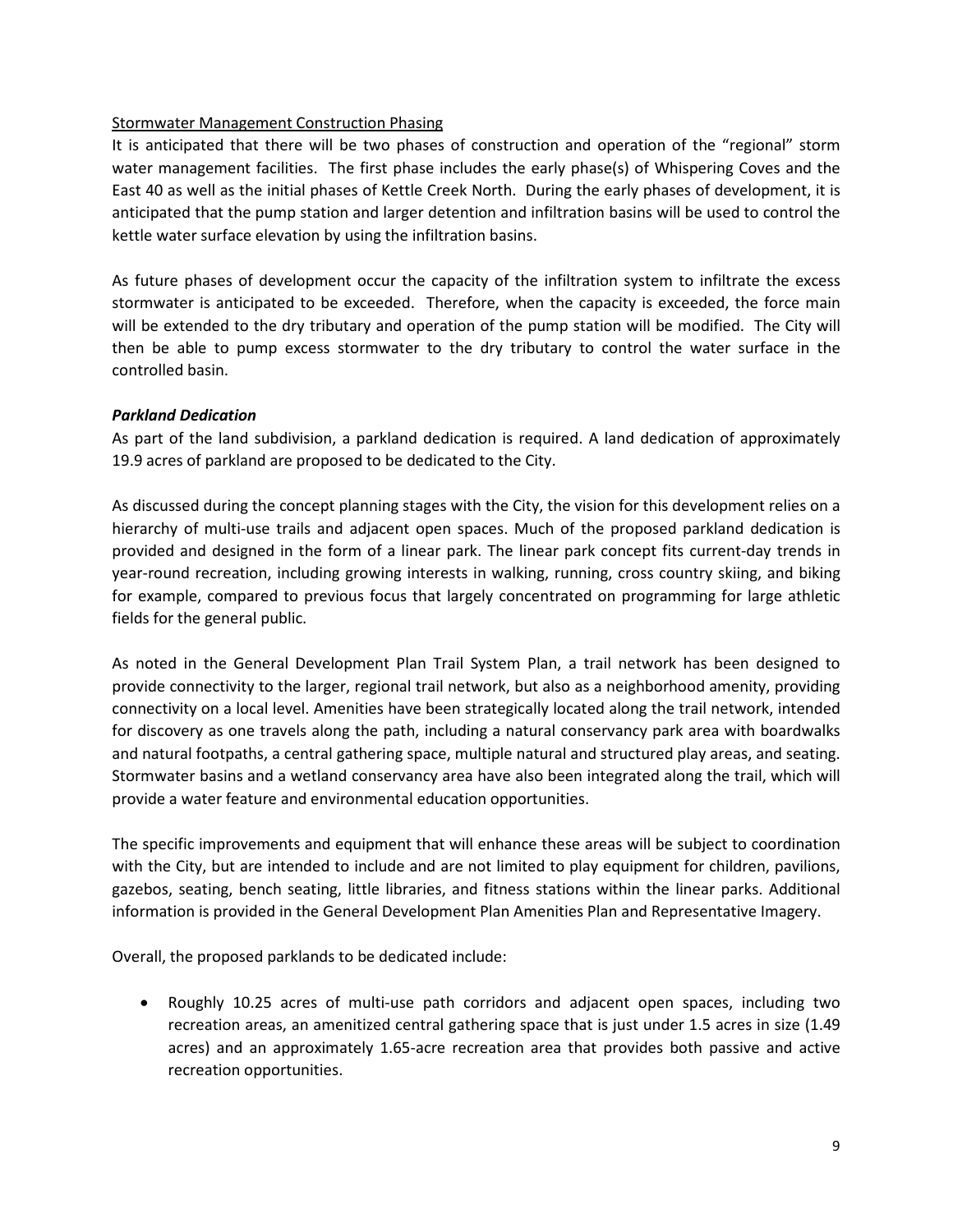#### Stormwater Management Construction Phasing

It is anticipated that there will be two phases of construction and operation of the "regional" storm water management facilities. The first phase includes the early phase(s) of Whispering Coves and the East 40 as well as the initial phases of Kettle Creek North. During the early phases of development, it is anticipated that the pump station and larger detention and infiltration basins will be used to control the kettle water surface elevation by using the infiltration basins.

As future phases of development occur the capacity of the infiltration system to infiltrate the excess stormwater is anticipated to be exceeded. Therefore, when the capacity is exceeded, the force main will be extended to the dry tributary and operation of the pump station will be modified. The City will then be able to pump excess stormwater to the dry tributary to control the water surface in the controlled basin.

#### *Parkland Dedication*

As part of the land subdivision, a parkland dedication is required. A land dedication of approximately 19.9 acres of parkland are proposed to be dedicated to the City.

As discussed during the concept planning stages with the City, the vision for this development relies on a hierarchy of multi-use trails and adjacent open spaces. Much of the proposed parkland dedication is provided and designed in the form of a linear park. The linear park concept fits current-day trends in year-round recreation, including growing interests in walking, running, cross country skiing, and biking for example, compared to previous focus that largely concentrated on programming for large athletic fields for the general public.

As noted in the General Development Plan Trail System Plan, a trail network has been designed to provide connectivity to the larger, regional trail network, but also as a neighborhood amenity, providing connectivity on a local level. Amenities have been strategically located along the trail network, intended for discovery as one travels along the path, including a natural conservancy park area with boardwalks and natural footpaths, a central gathering space, multiple natural and structured play areas, and seating. Stormwater basins and a wetland conservancy area have also been integrated along the trail, which will provide a water feature and environmental education opportunities.

The specific improvements and equipment that will enhance these areas will be subject to coordination with the City, but are intended to include and are not limited to play equipment for children, pavilions, gazebos, seating, bench seating, little libraries, and fitness stations within the linear parks. Additional information is provided in the General Development Plan Amenities Plan and Representative Imagery.

Overall, the proposed parklands to be dedicated include:

• Roughly 10.25 acres of multi-use path corridors and adjacent open spaces, including two recreation areas, an amenitized central gathering space that is just under 1.5 acres in size (1.49 acres) and an approximately 1.65-acre recreation area that provides both passive and active recreation opportunities.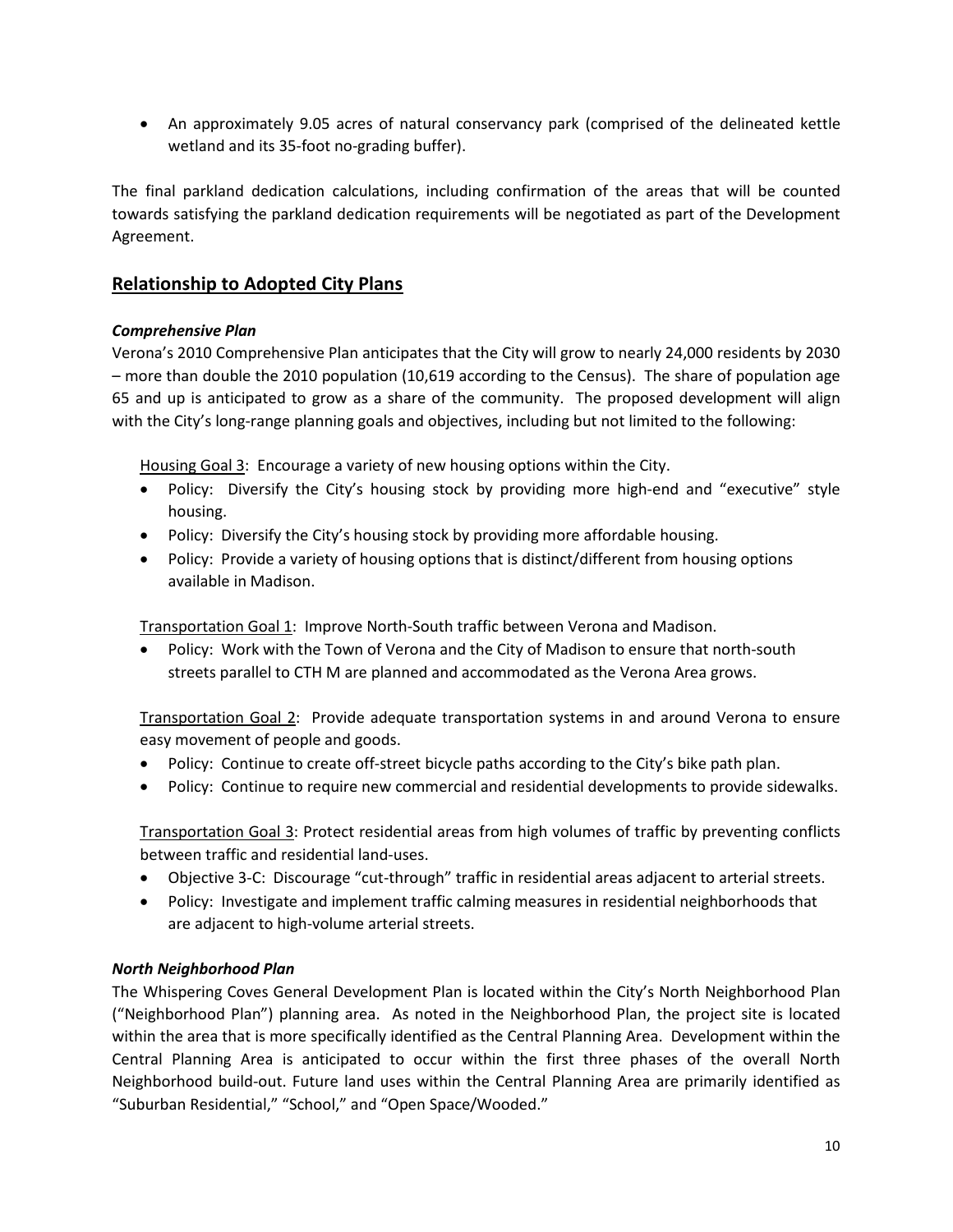• An approximately 9.05 acres of natural conservancy park (comprised of the delineated kettle wetland and its 35-foot no-grading buffer).

The final parkland dedication calculations, including confirmation of the areas that will be counted towards satisfying the parkland dedication requirements will be negotiated as part of the Development Agreement.

## **Relationship to Adopted City Plans**

#### *Comprehensive Plan*

Verona's 2010 Comprehensive Plan anticipates that the City will grow to nearly 24,000 residents by 2030 – more than double the 2010 population (10,619 according to the Census). The share of population age 65 and up is anticipated to grow as a share of the community. The proposed development will align with the City's long-range planning goals and objectives, including but not limited to the following:

Housing Goal 3: Encourage a variety of new housing options within the City.

- Policy: Diversify the City's housing stock by providing more high-end and "executive" style housing.
- Policy: Diversify the City's housing stock by providing more affordable housing.
- Policy: Provide a variety of housing options that is distinct/different from housing options available in Madison.

Transportation Goal 1: Improve North-South traffic between Verona and Madison.

• Policy: Work with the Town of Verona and the City of Madison to ensure that north-south streets parallel to CTH M are planned and accommodated as the Verona Area grows.

Transportation Goal 2: Provide adequate transportation systems in and around Verona to ensure easy movement of people and goods.

- Policy: Continue to create off-street bicycle paths according to the City's bike path plan.
- Policy: Continue to require new commercial and residential developments to provide sidewalks.

Transportation Goal 3: Protect residential areas from high volumes of traffic by preventing conflicts between traffic and residential land-uses.

- Objective 3-C: Discourage "cut-through" traffic in residential areas adjacent to arterial streets.
- Policy: Investigate and implement traffic calming measures in residential neighborhoods that are adjacent to high-volume arterial streets.

## *North Neighborhood Plan*

The Whispering Coves General Development Plan is located within the City's North Neighborhood Plan ("Neighborhood Plan") planning area. As noted in the Neighborhood Plan, the project site is located within the area that is more specifically identified as the Central Planning Area. Development within the Central Planning Area is anticipated to occur within the first three phases of the overall North Neighborhood build-out. Future land uses within the Central Planning Area are primarily identified as "Suburban Residential," "School," and "Open Space/Wooded."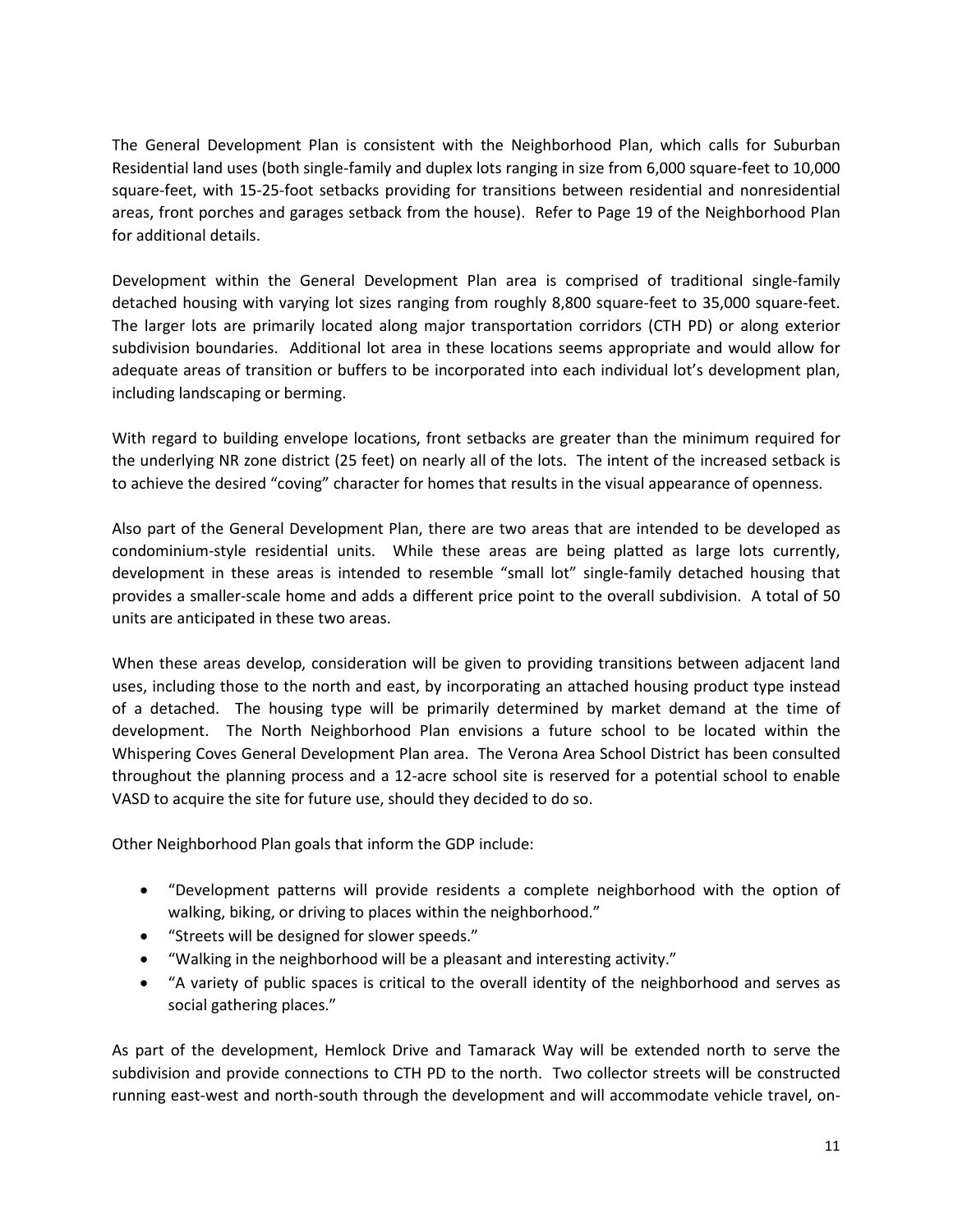The General Development Plan is consistent with the Neighborhood Plan, which calls for Suburban Residential land uses (both single-family and duplex lots ranging in size from 6,000 square-feet to 10,000 square-feet, with 15-25-foot setbacks providing for transitions between residential and nonresidential areas, front porches and garages setback from the house). Refer to Page 19 of the Neighborhood Plan for additional details.

Development within the General Development Plan area is comprised of traditional single-family detached housing with varying lot sizes ranging from roughly 8,800 square-feet to 35,000 square-feet. The larger lots are primarily located along major transportation corridors (CTH PD) or along exterior subdivision boundaries. Additional lot area in these locations seems appropriate and would allow for adequate areas of transition or buffers to be incorporated into each individual lot's development plan, including landscaping or berming.

With regard to building envelope locations, front setbacks are greater than the minimum required for the underlying NR zone district (25 feet) on nearly all of the lots. The intent of the increased setback is to achieve the desired "coving" character for homes that results in the visual appearance of openness.

Also part of the General Development Plan, there are two areas that are intended to be developed as condominium-style residential units. While these areas are being platted as large lots currently, development in these areas is intended to resemble "small lot" single-family detached housing that provides a smaller-scale home and adds a different price point to the overall subdivision. A total of 50 units are anticipated in these two areas.

When these areas develop, consideration will be given to providing transitions between adjacent land uses, including those to the north and east, by incorporating an attached housing product type instead of a detached. The housing type will be primarily determined by market demand at the time of development. The North Neighborhood Plan envisions a future school to be located within the Whispering Coves General Development Plan area. The Verona Area School District has been consulted throughout the planning process and a 12-acre school site is reserved for a potential school to enable VASD to acquire the site for future use, should they decided to do so.

Other Neighborhood Plan goals that inform the GDP include:

- "Development patterns will provide residents a complete neighborhood with the option of walking, biking, or driving to places within the neighborhood."
- "Streets will be designed for slower speeds."
- "Walking in the neighborhood will be a pleasant and interesting activity."
- "A variety of public spaces is critical to the overall identity of the neighborhood and serves as social gathering places."

As part of the development, Hemlock Drive and Tamarack Way will be extended north to serve the subdivision and provide connections to CTH PD to the north. Two collector streets will be constructed running east-west and north-south through the development and will accommodate vehicle travel, on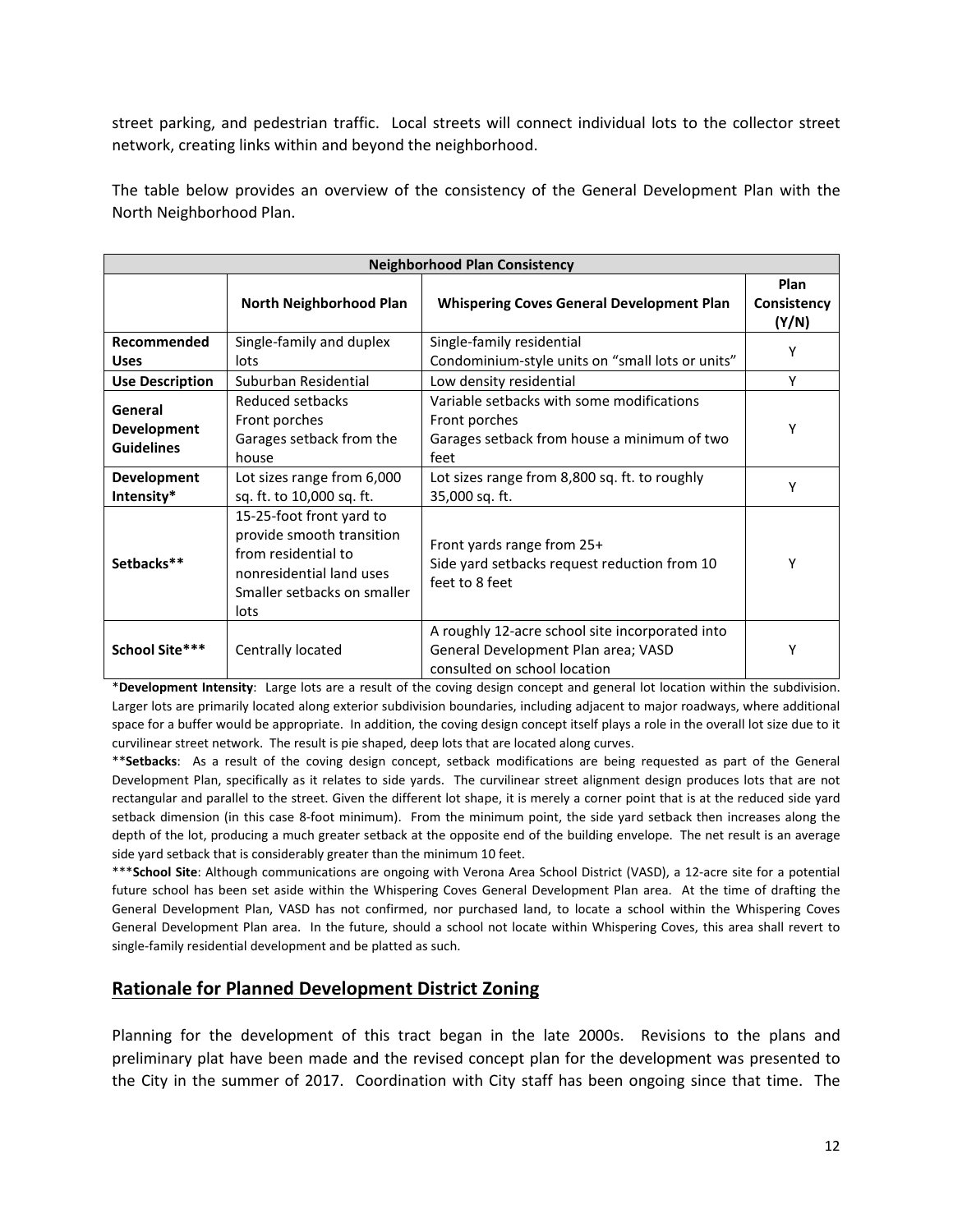street parking, and pedestrian traffic. Local streets will connect individual lots to the collector street network, creating links within and beyond the neighborhood.

The table below provides an overview of the consistency of the General Development Plan with the North Neighborhood Plan.

| <b>Neighborhood Plan Consistency</b>               |                                                                                                                                                 |                                                                                                                        |                              |
|----------------------------------------------------|-------------------------------------------------------------------------------------------------------------------------------------------------|------------------------------------------------------------------------------------------------------------------------|------------------------------|
|                                                    | <b>North Neighborhood Plan</b>                                                                                                                  | <b>Whispering Coves General Development Plan</b>                                                                       | Plan<br>Consistency<br>(Y/N) |
| Recommended<br><b>Uses</b>                         | Single-family and duplex<br>lots                                                                                                                | Single-family residential<br>Condominium-style units on "small lots or units"                                          |                              |
| <b>Use Description</b>                             | Suburban Residential                                                                                                                            | Low density residential                                                                                                | Y                            |
| General<br><b>Development</b><br><b>Guidelines</b> | Reduced setbacks<br>Front porches<br>Garages setback from the<br>house                                                                          | Variable setbacks with some modifications<br>Front porches<br>Garages setback from house a minimum of two<br>feet      |                              |
| Development<br>Intensity*                          | Lot sizes range from 6,000<br>sq. ft. to 10,000 sq. ft.                                                                                         | Lot sizes range from 8,800 sq. ft. to roughly<br>35,000 sq. ft.                                                        | Υ                            |
| Setbacks**                                         | 15-25-foot front yard to<br>provide smooth transition<br>from residential to<br>nonresidential land uses<br>Smaller setbacks on smaller<br>lots | Front yards range from 25+<br>Side yard setbacks request reduction from 10<br>feet to 8 feet                           |                              |
| School Site***                                     | Centrally located                                                                                                                               | A roughly 12-acre school site incorporated into<br>General Development Plan area; VASD<br>consulted on school location | Υ                            |

\***Development Intensity**: Large lots are a result of the coving design concept and general lot location within the subdivision. Larger lots are primarily located along exterior subdivision boundaries, including adjacent to major roadways, where additional space for a buffer would be appropriate. In addition, the coving design concept itself plays a role in the overall lot size due to it curvilinear street network. The result is pie shaped, deep lots that are located along curves.

\*\***Setbacks**: As a result of the coving design concept, setback modifications are being requested as part of the General Development Plan, specifically as it relates to side yards. The curvilinear street alignment design produces lots that are not rectangular and parallel to the street. Given the different lot shape, it is merely a corner point that is at the reduced side yard setback dimension (in this case 8-foot minimum). From the minimum point, the side yard setback then increases along the depth of the lot, producing a much greater setback at the opposite end of the building envelope. The net result is an average side yard setback that is considerably greater than the minimum 10 feet.

\*\*\***School Site**: Although communications are ongoing with Verona Area School District (VASD), a 12-acre site for a potential future school has been set aside within the Whispering Coves General Development Plan area. At the time of drafting the General Development Plan, VASD has not confirmed, nor purchased land, to locate a school within the Whispering Coves General Development Plan area. In the future, should a school not locate within Whispering Coves, this area shall revert to single-family residential development and be platted as such.

## **Rationale for Planned Development District Zoning**

Planning for the development of this tract began in the late 2000s. Revisions to the plans and preliminary plat have been made and the revised concept plan for the development was presented to the City in the summer of 2017. Coordination with City staff has been ongoing since that time. The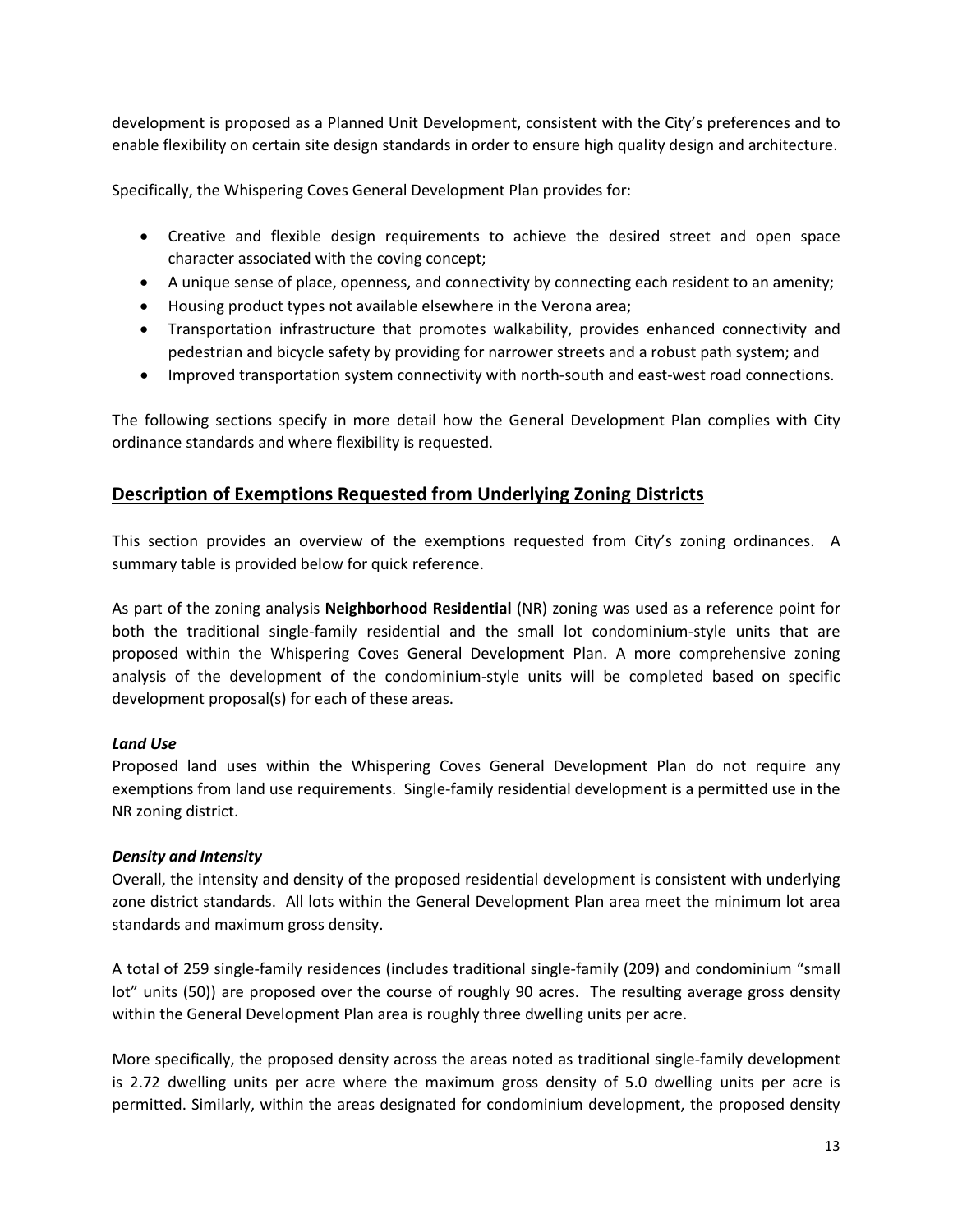development is proposed as a Planned Unit Development, consistent with the City's preferences and to enable flexibility on certain site design standards in order to ensure high quality design and architecture.

Specifically, the Whispering Coves General Development Plan provides for:

- Creative and flexible design requirements to achieve the desired street and open space character associated with the coving concept;
- A unique sense of place, openness, and connectivity by connecting each resident to an amenity;
- Housing product types not available elsewhere in the Verona area;
- Transportation infrastructure that promotes walkability, provides enhanced connectivity and pedestrian and bicycle safety by providing for narrower streets and a robust path system; and
- Improved transportation system connectivity with north-south and east-west road connections.

The following sections specify in more detail how the General Development Plan complies with City ordinance standards and where flexibility is requested.

## **Description of Exemptions Requested from Underlying Zoning Districts**

This section provides an overview of the exemptions requested from City's zoning ordinances. A summary table is provided below for quick reference.

As part of the zoning analysis **Neighborhood Residential** (NR) zoning was used as a reference point for both the traditional single-family residential and the small lot condominium-style units that are proposed within the Whispering Coves General Development Plan. A more comprehensive zoning analysis of the development of the condominium-style units will be completed based on specific development proposal(s) for each of these areas.

#### *Land Use*

Proposed land uses within the Whispering Coves General Development Plan do not require any exemptions from land use requirements. Single-family residential development is a permitted use in the NR zoning district.

#### *Density and Intensity*

Overall, the intensity and density of the proposed residential development is consistent with underlying zone district standards. All lots within the General Development Plan area meet the minimum lot area standards and maximum gross density.

A total of 259 single-family residences (includes traditional single-family (209) and condominium "small lot" units (50)) are proposed over the course of roughly 90 acres. The resulting average gross density within the General Development Plan area is roughly three dwelling units per acre.

More specifically, the proposed density across the areas noted as traditional single-family development is 2.72 dwelling units per acre where the maximum gross density of 5.0 dwelling units per acre is permitted. Similarly, within the areas designated for condominium development, the proposed density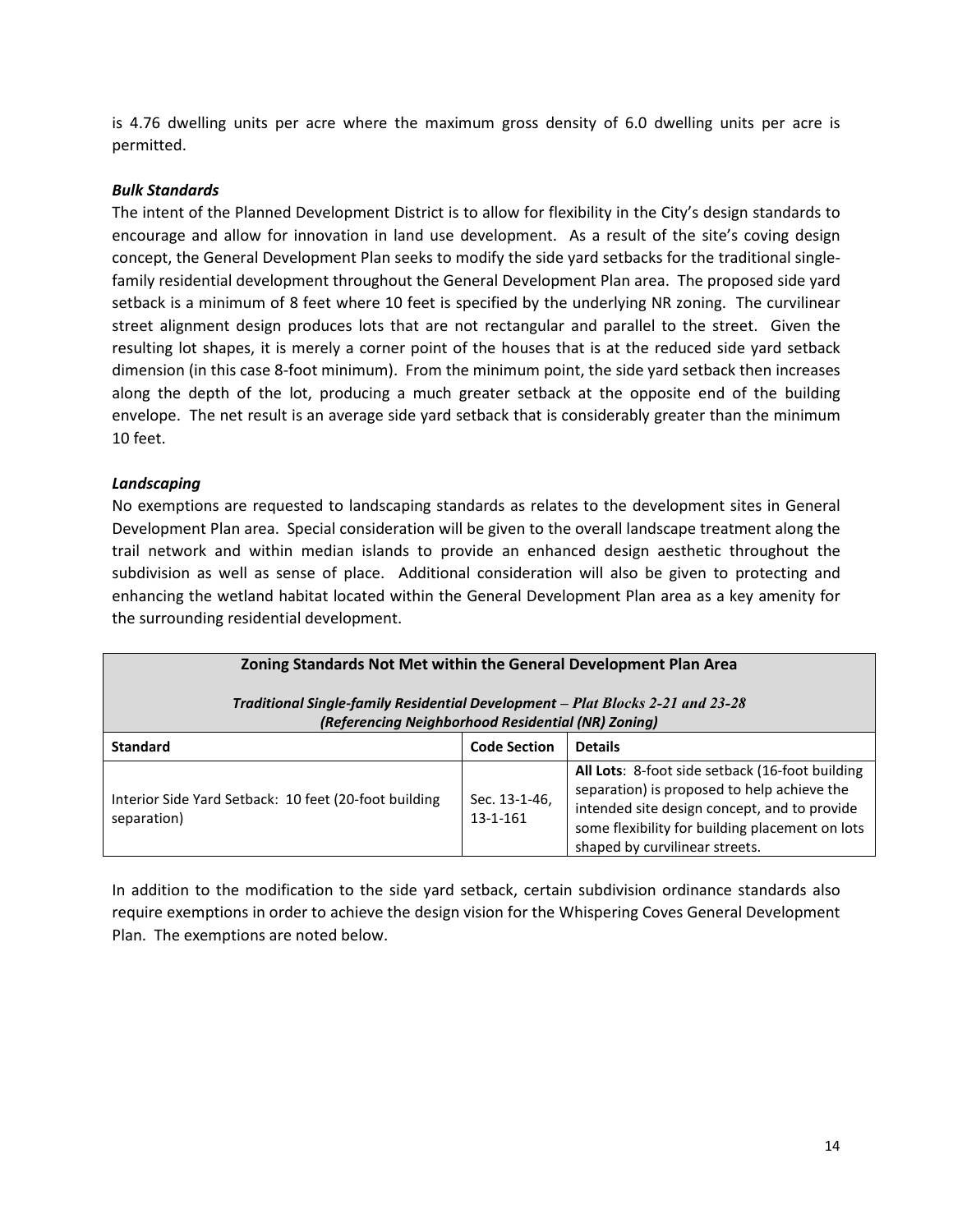is 4.76 dwelling units per acre where the maximum gross density of 6.0 dwelling units per acre is permitted.

#### *Bulk Standards*

The intent of the Planned Development District is to allow for flexibility in the City's design standards to encourage and allow for innovation in land use development. As a result of the site's coving design concept, the General Development Plan seeks to modify the side yard setbacks for the traditional singlefamily residential development throughout the General Development Plan area. The proposed side yard setback is a minimum of 8 feet where 10 feet is specified by the underlying NR zoning. The curvilinear street alignment design produces lots that are not rectangular and parallel to the street. Given the resulting lot shapes, it is merely a corner point of the houses that is at the reduced side yard setback dimension (in this case 8-foot minimum). From the minimum point, the side yard setback then increases along the depth of the lot, producing a much greater setback at the opposite end of the building envelope. The net result is an average side yard setback that is considerably greater than the minimum 10 feet.

#### *Landscaping*

No exemptions are requested to landscaping standards as relates to the development sites in General Development Plan area. Special consideration will be given to the overall landscape treatment along the trail network and within median islands to provide an enhanced design aesthetic throughout the subdivision as well as sense of place. Additional consideration will also be given to protecting and enhancing the wetland habitat located within the General Development Plan area as a key amenity for the surrounding residential development.

| Zoning Standards Not Met within the General Development Plan Area<br>Traditional Single-family Residential Development - Plat Blocks 2-21 and 23-28<br>(Referencing Neighborhood Residential (NR) Zoning) |                                 |                                                                                                                                                                                                                                     |  |
|-----------------------------------------------------------------------------------------------------------------------------------------------------------------------------------------------------------|---------------------------------|-------------------------------------------------------------------------------------------------------------------------------------------------------------------------------------------------------------------------------------|--|
| <b>Standard</b>                                                                                                                                                                                           | <b>Code Section</b>             | <b>Details</b>                                                                                                                                                                                                                      |  |
| Interior Side Yard Setback: 10 feet (20-foot building<br>separation)                                                                                                                                      | Sec. 13-1-46,<br>$13 - 1 - 161$ | All Lots: 8-foot side setback (16-foot building<br>separation) is proposed to help achieve the<br>intended site design concept, and to provide<br>some flexibility for building placement on lots<br>shaped by curvilinear streets. |  |

In addition to the modification to the side yard setback, certain subdivision ordinance standards also require exemptions in order to achieve the design vision for the Whispering Coves General Development Plan. The exemptions are noted below.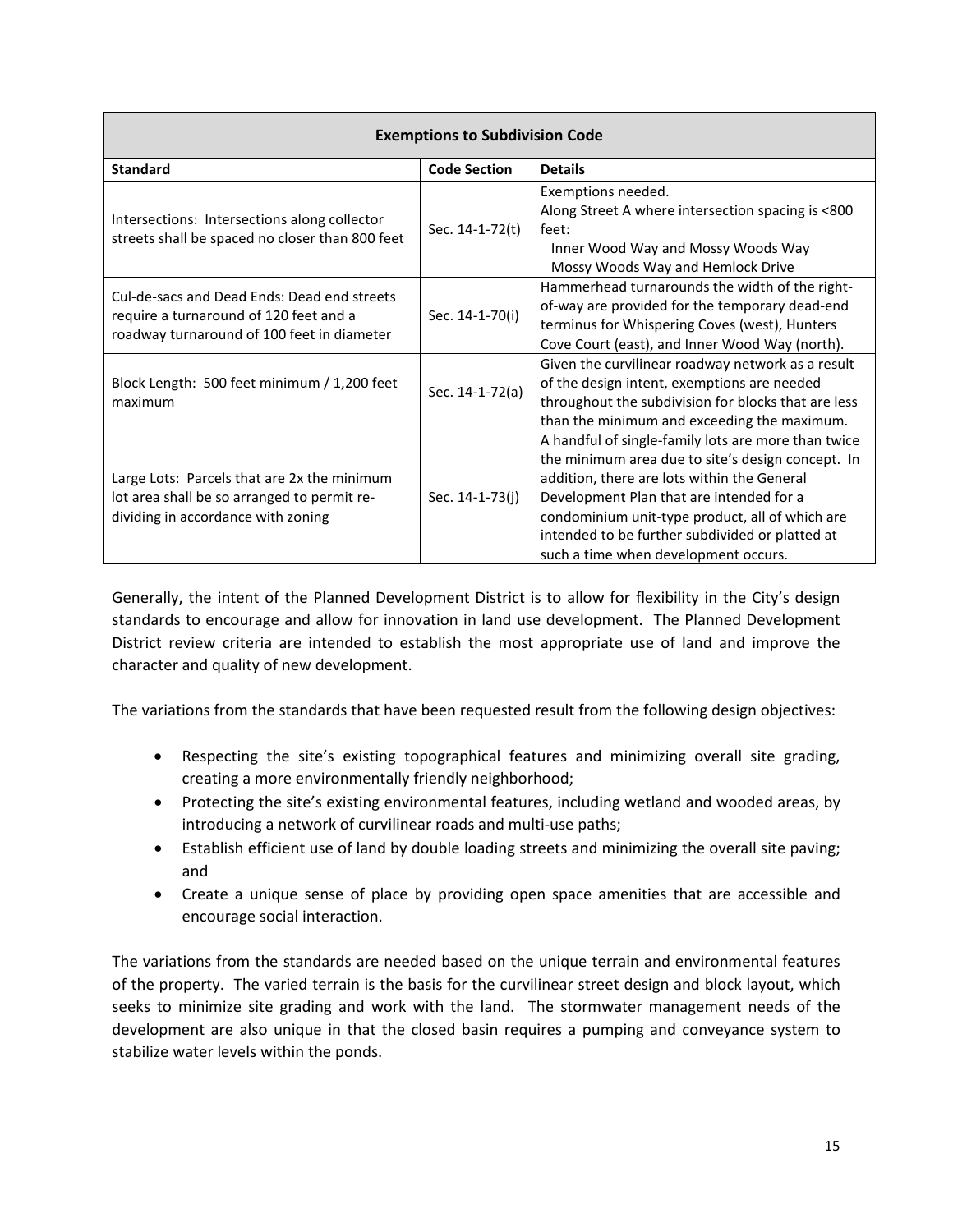| <b>Exemptions to Subdivision Code</b>                                                                                               |                     |                                                                                                                                                                                                                                                                                                                                                   |  |  |
|-------------------------------------------------------------------------------------------------------------------------------------|---------------------|---------------------------------------------------------------------------------------------------------------------------------------------------------------------------------------------------------------------------------------------------------------------------------------------------------------------------------------------------|--|--|
| <b>Standard</b>                                                                                                                     | <b>Code Section</b> | <b>Details</b>                                                                                                                                                                                                                                                                                                                                    |  |  |
| Intersections: Intersections along collector<br>streets shall be spaced no closer than 800 feet                                     | Sec. 14-1-72(t)     | Exemptions needed.<br>Along Street A where intersection spacing is <800<br>feet:<br>Inner Wood Way and Mossy Woods Way<br>Mossy Woods Way and Hemlock Drive                                                                                                                                                                                       |  |  |
| Cul-de-sacs and Dead Ends: Dead end streets<br>require a turnaround of 120 feet and a<br>roadway turnaround of 100 feet in diameter | Sec. 14-1-70(i)     | Hammerhead turnarounds the width of the right-<br>of-way are provided for the temporary dead-end<br>terminus for Whispering Coves (west), Hunters<br>Cove Court (east), and Inner Wood Way (north).                                                                                                                                               |  |  |
| Block Length: 500 feet minimum / 1,200 feet<br>maximum                                                                              | Sec. 14-1-72(a)     | Given the curvilinear roadway network as a result<br>of the design intent, exemptions are needed<br>throughout the subdivision for blocks that are less<br>than the minimum and exceeding the maximum.                                                                                                                                            |  |  |
| Large Lots: Parcels that are 2x the minimum<br>lot area shall be so arranged to permit re-<br>dividing in accordance with zoning    | Sec. 14-1-73(j)     | A handful of single-family lots are more than twice<br>the minimum area due to site's design concept. In<br>addition, there are lots within the General<br>Development Plan that are intended for a<br>condominium unit-type product, all of which are<br>intended to be further subdivided or platted at<br>such a time when development occurs. |  |  |

Generally, the intent of the Planned Development District is to allow for flexibility in the City's design standards to encourage and allow for innovation in land use development. The Planned Development District review criteria are intended to establish the most appropriate use of land and improve the character and quality of new development.

The variations from the standards that have been requested result from the following design objectives:

- Respecting the site's existing topographical features and minimizing overall site grading, creating a more environmentally friendly neighborhood;
- Protecting the site's existing environmental features, including wetland and wooded areas, by introducing a network of curvilinear roads and multi-use paths;
- Establish efficient use of land by double loading streets and minimizing the overall site paving; and
- Create a unique sense of place by providing open space amenities that are accessible and encourage social interaction.

The variations from the standards are needed based on the unique terrain and environmental features of the property. The varied terrain is the basis for the curvilinear street design and block layout, which seeks to minimize site grading and work with the land. The stormwater management needs of the development are also unique in that the closed basin requires a pumping and conveyance system to stabilize water levels within the ponds.